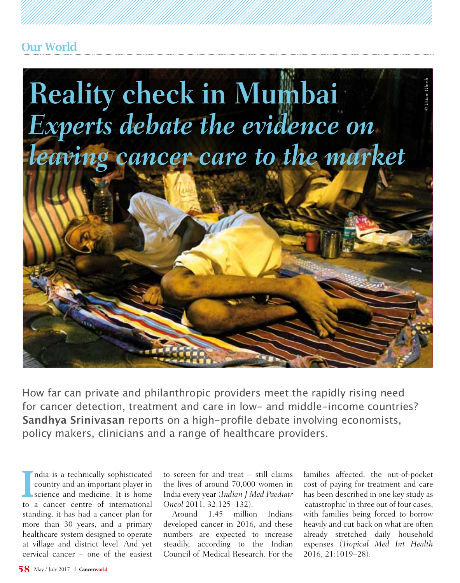

How far can private and philanthropic providers meet the rapidly rising need for cancer detection, treatment and care in low- and middle-income countries? **Sandhya Srinivasan** reports on a high-profile debate involving economists, policy makers, clinicians and a range of healthcare providers.

I ndia is a technically sophisticated country and an important player in science and medicine. It is home to a cancer centre of international standing, it has had a cancer plan for more than 30 years, and a primary healthcare system designed to operate at village and district level. And yet cervical cancer – one of the easiest to screen for and treat – still claims the lives of around 70,000 women in India every year (*Indian J Med Paediatr Oncol* 2011, 32:125–132).

Around 1.45 million Indians developed cancer in 2016, and these numbers are expected to increase steadily, according to the Indian Council of Medical Research. For the

families affected, the out-of-pocket cost of paying for treatment and care has been described in one key study as 'catastrophic' in three out of four cases, with families being forced to borrow heavily and cut back on what are often already stretched daily household expenses (*Tropical Med Int Health* 2016, 21:1019–28).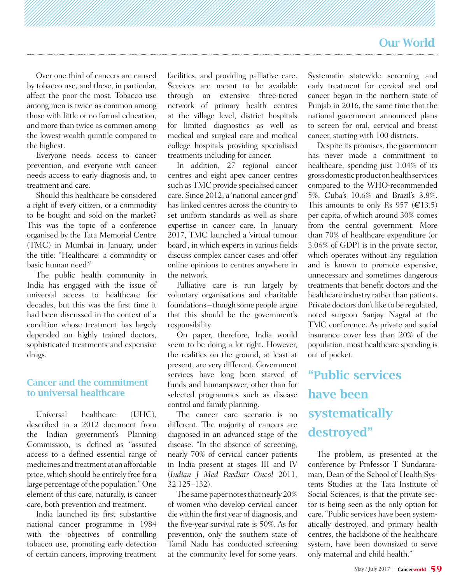Over one third of cancers are caused by tobacco use, and these, in particular, affect the poor the most. Tobacco use among men is twice as common among those with little or no formal education, and more than twice as common among the lowest wealth quintile compared to the highest.

Everyone needs access to cancer prevention, and everyone with cancer needs access to early diagnosis and, to treatment and care.

Should this healthcare be considered a right of every citizen, or a commodity to be bought and sold on the market? This was the topic of a conference organised by the Tata Memorial Centre (TMC) in Mumbai in January, under the title: "Healthcare: a commodity or basic human need?"

The public health community in India has engaged with the issue of universal access to healthcare for decades, but this was the first time it had been discussed in the context of a condition whose treatment has largely depended on highly trained doctors, sophisticated treatments and expensive drugs.

#### Cancer and the commitment to universal healthcare

Universal healthcare (UHC) described in a 2012 document from the Indian government's Planning Commission, is defined as "assured access to a defined essential range of medicines and treatment at an affordable price, which should be entirely free for a large percentage of the population." One element of this care, naturally, is cancer care, both prevention and treatment.

India launched its first substantive national cancer programme in 1984 with the objectives of controlling tobacco use, promoting early detection of certain cancers, improving treatment

facilities, and providing palliative care. Services are meant to be available through an extensive three-tiered network of primary health centres at the village level, district hospitals for limited diagnostics as well as medical and surgical care and medical college hospitals providing specialised treatments including for cancer.

In addition, 27 regional cancer centres and eight apex cancer centres such as TMC provide specialised cancer care. Since 2012, a 'national cancer grid' has linked centres across the country to set uniform standards as well as share expertise in cancer care. In January 2017, TMC launched a 'virtual tumour board', in which experts in various fields discuss complex cancer cases and offer online opinions to centres anywhere in the network.

Palliative care is run largely by voluntary organisations and charitable foundations – though some people argue that this should be the government's responsibility.

On paper, therefore, India would seem to be doing a lot right. However, the realities on the ground, at least at present, are very different. Government services have long been starved of funds and humanpower, other than for selected programmes such as disease control and family planning.

The cancer care scenario is no different. The majority of cancers are diagnosed in an advanced stage of the disease. "In the absence of screening, nearly 70% of cervical cancer patients in India present at stages III and IV (*Indian J Med Paediatr Oncol* 2011, 32:125–132).

The same paper notes that nearly 20% of women who develop cervical cancer die within the first year of diagnosis, and the five-year survival rate is 50%. As for prevention, only the southern state of Tamil Nadu has conducted screening at the community level for some years.

Systematic statewide screening and early treatment for cervical and oral cancer began in the northern state of Punjab in 2016, the same time that the national government announced plans to screen for oral, cervical and breast cancer, starting with 100 districts.

Despite its promises, the government has never made a commitment to healthcare, spending just 1.04% of its gross domestic product on health services compared to the WHO-recommended 5%, Cuba's 10.6% and Brazil's 3.8%. This amounts to only Rs 957 ( $E$ 13.5) per capita, of which around 30% comes from the central government. More than 70% of healthcare expenditure (or 3.06% of GDP) is in the private sector, which operates without any regulation and is known to promote expensive, unnecessary and sometimes dangerous treatments that benefit doctors and the healthcare industry rather than patients. Private doctors don't like to be regulated, noted surgeon Sanjay Nagral at the TMC conference. As private and social insurance cover less than 20% of the population, most healthcare spending is out of pocket.

# "Public services have been systematically destroyed"

The problem, as presented at the conference by Professor T Sundararaman, Dean of the School of Health Systems Studies at the Tata Institute of Social Sciences, is that the private sector is being seen as the only option for care. "Public services have been systematically destroyed, and primary health centres, the backbone of the healthcare system, have been downsized to serve only maternal and child health."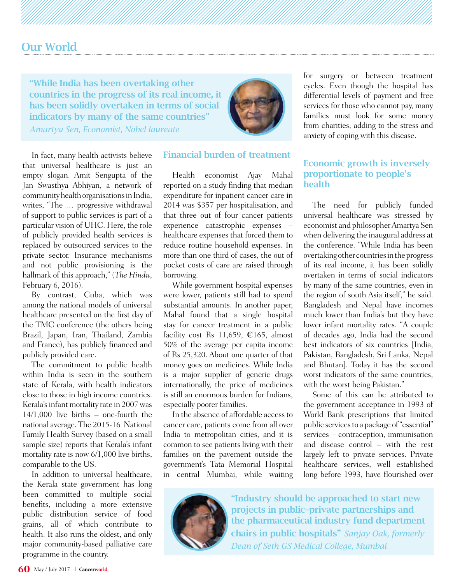"While India has been overtaking other countries in the progress of its real income, it has been solidly overtaken in terms of social indicators by many of the same countries" *Amartya Sen, Economist, Nobel laureate*



In fact, many health activists believe that universal healthcare is just an empty slogan. Amit Sengupta of the Jan Swasthya Abhiyan, a network of community health organisations in India, writes, "The … progressive withdrawal of support to public services is part of a particular vision of UHC. Here, the role of publicly provided health services is replaced by outsourced services to the private sector. Insurance mechanisms and not public provisioning is the hallmark of this approach," (*The Hindu*, February 6, 2016).

By contrast, Cuba, which was among the national models of universal healthcare presented on the first day of the TMC conference (the others being Brazil, Japan, Iran, Thailand, Zambia and France), has publicly financed and publicly provided care.

The commitment to public health within India is seen in the southern state of Kerala, with health indicators close to those in high income countries. Kerala's infant mortality rate in 2007 was 14/1,000 live births – one-fourth the national average. The 2015-16 National Family Health Survey (based on a small sample size) reports that Kerala's infant mortality rate is now 6/1,000 live births, comparable to the US.

In addition to universal healthcare, the Kerala state government has long been committed to multiple social benefits, including a more extensive public distribution service of food grains, all of which contribute to health. It also runs the oldest, and only major community-based palliative care programme in the country.

#### Financial burden of treatment

Health economist Ajay Mahal reported on a study finding that median expenditure for inpatient cancer care in 2014 was \$357 per hospitalisation, and that three out of four cancer patients experience catastrophic expenses – healthcare expenses that forced them to reduce routine household expenses. In more than one third of cases, the out of pocket costs of care are raised through borrowing.

While government hospital expenses were lower, patients still had to spend substantial amounts. In another paper, Mahal found that a single hospital stay for cancer treatment in a public facility cost Rs 11,659,  $\epsilon$ 165, almost 50% of the average per capita income of Rs 25,320. About one quarter of that money goes on medicines. While India is a major supplier of generic drugs internationally, the price of medicines is still an enormous burden for Indians, especially poorer families.

In the absence of affordable access to cancer care, patients come from all over India to metropolitan cities, and it is common to see patients living with their families on the pavement outside the government's Tata Memorial Hospital in central Mumbai, while waiting for surgery or between treatment cycles. Even though the hospital has differential levels of payment and free services for those who cannot pay, many families must look for some money from charities, adding to the stress and anxiety of coping with this disease.

#### Economic growth is inversely proportionate to people's **health**

The need for publicly funded universal healthcare was stressed by economist and philosopher Amartya Sen when delivering the inaugural address at the conference. "While India has been overtaking other countries in the progress of its real income, it has been solidly overtaken in terms of social indicators by many of the same countries, even in the region of south Asia itself," he said. Bangladesh and Nepal have incomes much lower than India's but they have lower infant mortality rates. "A couple of decades ago, India had the second best indicators of six countries [India, Pakistan, Bangladesh, Sri Lanka, Nepal and Bhutan]. Today it has the second worst indicators of the same countries, with the worst being Pakistan."

Some of this can be attributed to the government acceptance in 1993 of World Bank prescriptions that limited public services to a package of "essential" services – contraception, immunisation and disease control – with the rest largely left to private services. Private healthcare services, well established long before 1993, have flourished over



"Industry should be approached to start new projects in public–private partnerships and the pharmaceutical industry fund department chairs in public hospitals" *Sanjay Oak, formerly Dean of Seth GS Medical College, Mumbai*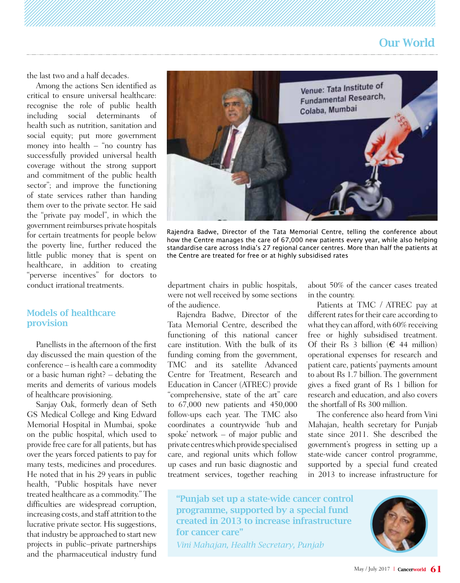the last two and a half decades.

Among the actions Sen identified as critical to ensure universal healthcare: recognise the role of public health including social determinants of health such as nutrition, sanitation and social equity; put more government money into health – "no country has successfully provided universal health coverage without the strong support and commitment of the public health sector"; and improve the functioning of state services rather than handing them over to the private sector. He said the "private pay model", in which the government reimburses private hospitals for certain treatments for people below the poverty line, further reduced the little public money that is spent on healthcare, in addition to creating "perverse incentives" for doctors to conduct irrational treatments.

#### Models of healthcare provision

Panellists in the afternoon of the first day discussed the main question of the conference – is health care a commodity or a basic human right? – debating the merits and demerits of various models of healthcare provisioning.

Sanjay Oak, formerly dean of Seth GS Medical College and King Edward Memorial Hospital in Mumbai, spoke on the public hospital, which used to provide free care for all patients, but has over the years forced patients to pay for many tests, medicines and procedures. He noted that in his 29 years in public health, "Public hospitals have never treated healthcare as a commodity." The difficulties are widespread corruption, increasing costs, and staff attrition to the lucrative private sector. His suggestions, that industry be approached to start new projects in public–private partnerships and the pharmaceutical industry fund



Rajendra Badwe, Director of the Tata Memorial Centre, telling the conference about how the Centre manages the care of 67,000 new patients every year, while also helping standardise care across India's 27 regional cancer centres. More than half the patients at the Centre are treated for free or at highly subsidised rates

department chairs in public hospitals, were not well received by some sections of the audience.

Rajendra Badwe, Director of the Tata Memorial Centre, described the functioning of this national cancer care institution. With the bulk of its funding coming from the government, TMC and its satellite Advanced Centre for Treatment, Research and Education in Cancer (ATREC) provide "comprehensive, state of the art" care to 67,000 new patients and 450,000 follow-ups each year. The TMC also coordinates a countrywide 'hub and spoke' network – of major public and private centres which provide specialised care, and regional units which follow up cases and run basic diagnostic and treatment services, together reaching

about 50% of the cancer cases treated in the country.

Patients at TMC / ATREC pay at different rates for their care according to what they can afford, with 60% receiving free or highly subsidised treatment. Of their Rs 3 billion ( $\epsilon$  44 million) operational expenses for research and patient care, patients' payments amount to about Rs 1.7 billion. The government gives a fixed grant of Rs 1 billion for research and education, and also covers the shortfall of Rs 300 million.

The conference also heard from Vini Mahajan, health secretary for Punjab state since 2011. She described the government's progress in setting up a state-wide cancer control programme, supported by a special fund created in 2013 to increase infrastructure for

"Punjab set up a state-wide cancer control programme, supported by a special fund created in 2013 to increase infrastructure for cancer care" *Vini Mahajan, Health Secretary, Punjab*

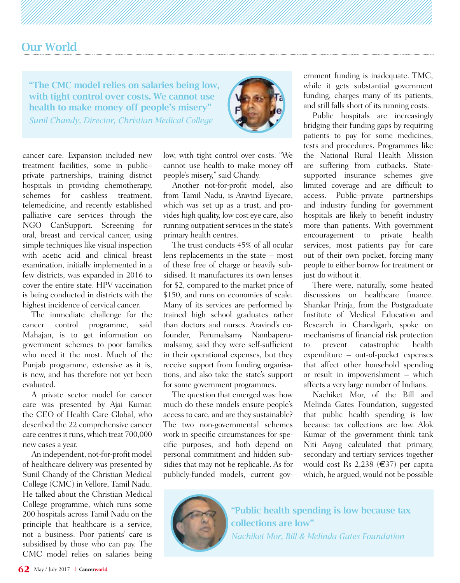"The CMC model relies on salaries being low, with tight control over costs. We cannot use health to make money off people's misery" *Sunil Chandy, Director, Christian Medical College*



cancer care. Expansion included new treatment facilities, some in public– private partnerships, training district hospitals in providing chemotherapy, schemes for cashless treatment, telemedicine, and recently established palliative care services through the NGO CanSupport. Screening for oral, breast and cervical cancer, using simple techniques like visual inspection with acetic acid and clinical breast examination, initially implemented in a few districts, was expanded in 2016 to cover the entire state. HPV vaccination is being conducted in districts with the highest incidence of cervical cancer.

The immediate challenge for the cancer control programme, said Mahajan, is to get information on government schemes to poor families who need it the most. Much of the Punjab programme, extensive as it is, is new, and has therefore not yet been evaluated.

A private sector model for cancer care was presented by Ajai Kumar, the CEO of Health Care Global, who described the 22 comprehensive cancer care centres it runs, which treat 700,000 new cases a year.

An independent, not-for-profit model of healthcare delivery was presented by Sunil Chandy of the Christian Medical College (CMC) in Vellore, Tamil Nadu. He talked about the Christian Medical College programme, which runs some 200 hospitals across Tamil Nadu on the principle that healthcare is a service, not a business. Poor patients' care is subsidised by those who can pay. The CMC model relies on salaries being low, with tight control over costs. "We cannot use health to make money off people's misery," said Chandy.

Another not-for-profit model, also from Tamil Nadu, is Aravind Eyecare, which was set up as a trust, and provides high quality, low cost eye care, also running outpatient services in the state's primary health centres.

The trust conducts 45% of all ocular lens replacements in the state – most of these free of charge or heavily subsidised. It manufactures its own lenses for \$2, compared to the market price of \$150, and runs on economies of scale. Many of its services are performed by trained high school graduates rather than doctors and nurses. Aravind's cofounder, Perumalsamy Nambaperumalsamy, said they were self-sufficient in their operational expenses, but they receive support from funding organisations, and also take the state's support for some government programmes.

The question that emerged was: how much do these models ensure people's access to care, and are they sustainable? The two non-governmental schemes work in specific circumstances for specific purposes, and both depend on personal commitment and hidden subsidies that may not be replicable. As for publicly-funded models, current government funding is inadequate. TMC, while it gets substantial government funding, charges many of its patients, and still falls short of its running costs.

Public hospitals are increasingly bridging their funding gaps by requiring patients to pay for some medicines, tests and procedures. Programmes like the National Rural Health Mission are suffering from cutbacks. Statesupported insurance schemes give limited coverage and are difficult to access. Public–private partnerships and industry funding for government hospitals are likely to benefit industry more than patients. With government encouragement to private health services, most patients pay for care out of their own pocket, forcing many people to either borrow for treatment or just do without it.

There were, naturally, some heated discussions on healthcare finance. Shankar Prinja, from the Postgraduate Institute of Medical Education and Research in Chandigarh, spoke on mechanisms of financial risk protection to prevent catastrophic health expenditure – out-of-pocket expenses that affect other household spending or result in impoverishment – which affects a very large number of Indians.

Nachiket Mor, of the Bill and Melinda Gates Foundation, suggested that public health spending is low because tax collections are low. Alok Kumar of the government think tank Niti Aayog calculated that primary, secondary and tertiary services together would cost Rs 2,238 (€37) per capita which, he argued, would not be possible



"Public health spending is low because tax collections are low" *Nachiket Mor, Bill & Melinda Gates Foundation*